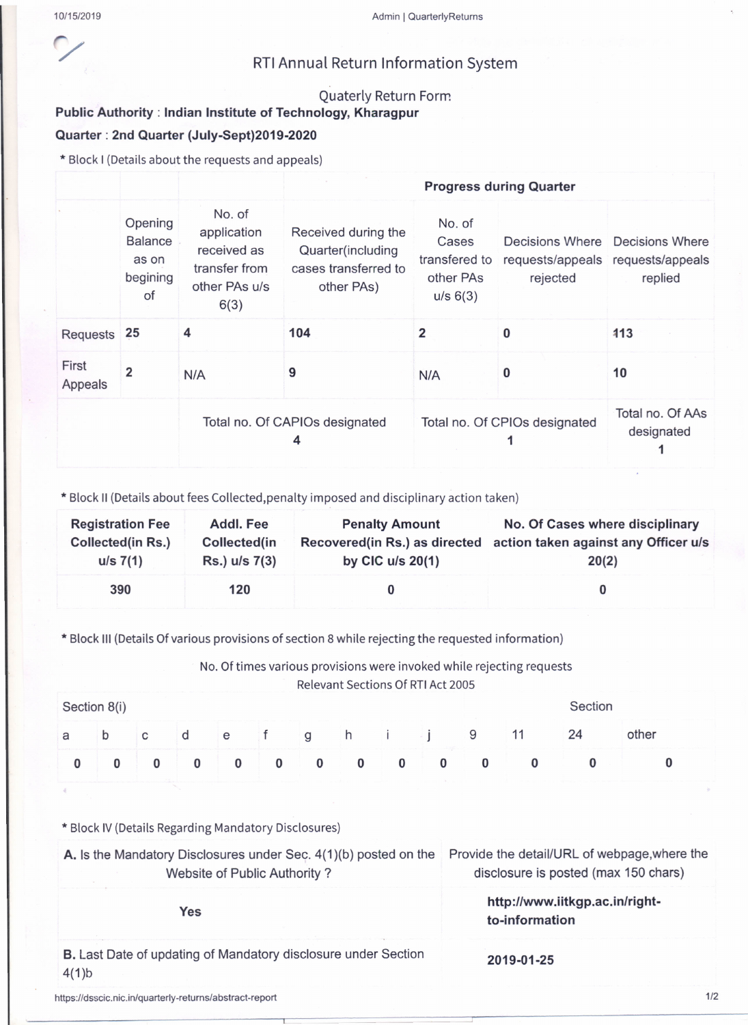## RTIAnnual Return Information System

## Quaterly Return Form

## Public Authority: Indian Institute of Technology, Kharagpur Quarter: 2nd Quarter (July-Sept)2019-2020

\* Block I (Detailsabout the requestsand appeals)

|                  |                                                      |                                                                                | <b>Progress during Quarter</b>                                                 |                                                           |                                               |                                            |  |  |
|------------------|------------------------------------------------------|--------------------------------------------------------------------------------|--------------------------------------------------------------------------------|-----------------------------------------------------------|-----------------------------------------------|--------------------------------------------|--|--|
|                  | Opening<br><b>Balance</b><br>as on<br>begining<br>of | No. of<br>application<br>received as<br>transfer from<br>other PAs u/s<br>6(3) | Received during the<br>Quarter(including<br>cases transferred to<br>other PAs) | No. of<br>Cases<br>transfered to<br>other PAs<br>u/s 6(3) | requests/appeals requests/appeals<br>rejected | Decisions Where Decisions Where<br>replied |  |  |
| Requests         | 25                                                   | 4                                                                              | 104                                                                            | 2                                                         | 0                                             | 113                                        |  |  |
| First<br>Appeals | $\overline{\mathbf{2}}$                              | N/A                                                                            | 9                                                                              | N/A                                                       | 0                                             | 10                                         |  |  |
|                  |                                                      | Total no. Of CAPIOs designated<br>4                                            |                                                                                | Total no. Of CPIOs designated                             | Total no. Of AAs<br>designated                |                                            |  |  |

\* Block II (Details about fees Collected,penalty imposed and disciplinary action taken)

| <b>Registration Fee</b><br><b>Collected(in Rs.)</b><br>$u/s \ 7(1)$ | <b>Addl. Fee</b><br>Collected(in<br>Rs.) u/s 7(3) | <b>Penalty Amount</b><br>by CIC $u/s$ 20(1) | No. Of Cases where disciplinary<br>Recovered(in Rs.) as directed action taken against any Officer u/s<br>20(2) |
|---------------------------------------------------------------------|---------------------------------------------------|---------------------------------------------|----------------------------------------------------------------------------------------------------------------|
| 390                                                                 | 120                                               |                                             |                                                                                                                |

\* Block III (Details Of various provisions of section 8 while rejecting the requested information)

No. Of times various provisions were invoked while rejecting requests

Relevant Sections Of RTI Act 2005

| Section 8(i) |   |                |          |  |  | Section                                                                                      |              |          |  |    |       |
|--------------|---|----------------|----------|--|--|----------------------------------------------------------------------------------------------|--------------|----------|--|----|-------|
| a            | b | $\overline{C}$ |          |  |  | e f ghij                                                                                     |              | - 9      |  | 24 | other |
|              |   |                | $\bf{0}$ |  |  | $\begin{array}{ccccccccccccccccc} & & & & & & 0 & & & 0 & & & 0 & & 0 & & 0 & & \end{array}$ | $\mathbf{0}$ | $\bf{0}$ |  |    |       |

\* Block IV (Details Regarding Mandatory Disclosures)

| A. Is the Mandatory Disclosures under Sec. 4(1)(b) posted on the<br>Website of Public Authority? | Provide the detail/URL of webpage, where the<br>disclosure is posted (max 150 chars) |  |  |  |
|--------------------------------------------------------------------------------------------------|--------------------------------------------------------------------------------------|--|--|--|
| Yes                                                                                              | http://www.iitkgp.ac.in/right-<br>to-information                                     |  |  |  |
| <b>B.</b> Last Date of updating of Mandatory disclosure under Section<br>4(1)b                   | 2019-01-25                                                                           |  |  |  |

https://dsscic.nic.in/quarterly-returns/abstract-report 1/2